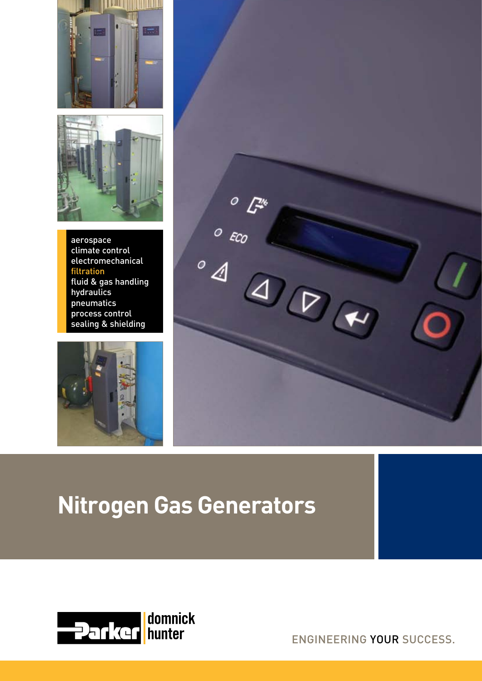



aerospace climate control electromechanical filtration fluid & gas handling hydraulics pneumatics process control sealing & shielding





# **Nitrogen Gas Generators**



ENGINEERING YOUR SUCCESS.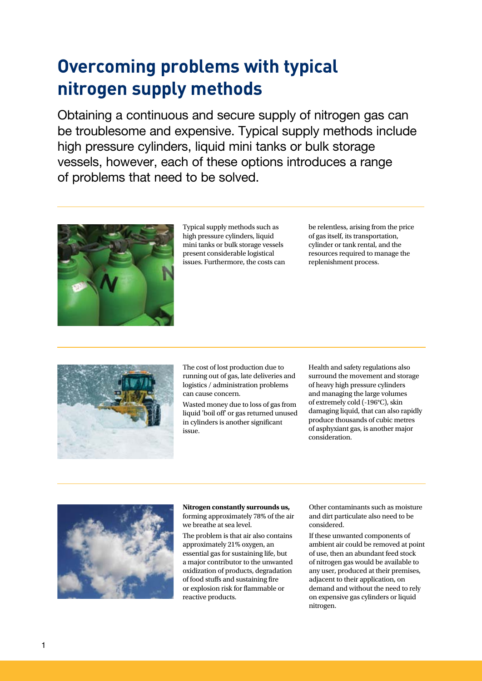## **Overcoming problems with typical nitrogen supply methods**

Obtaining a continuous and secure supply of nitrogen gas can be troublesome and expensive. Typical supply methods include high pressure cylinders, liquid mini tanks or bulk storage vessels, however, each of these options introduces a range of problems that need to be solved.



Typical supply methods such as high pressure cylinders, liquid mini tanks or bulk storage vessels present considerable logistical issues. Furthermore, the costs can be relentless, arising from the price of gas itself, its transportation, cylinder or tank rental, and the resources required to manage the replenishment process.



The cost of lost production due to running out of gas, late deliveries and logistics / administration problems can cause concern.

Wasted money due to loss of gas from liquid 'boil off' or gas returned unused in cylinders is another significant issue.

Health and safety regulations also surround the movement and storage of heavy high pressure cylinders and managing the large volumes of extremely cold (-196°C), skin damaging liquid, that can also rapidly produce thousands of cubic metres of asphyxiant gas, is another major consideration.



**Nitrogen constantly surrounds us,**  forming approximately 78% of the air we breathe at sea level.

The problem is that air also contains approximately 21% oxygen, an essential gas for sustaining life, but a major contributor to the unwanted oxidization of products, degradation of food stuffs and sustaining fire or explosion risk for flammable or reactive products.

Other contaminants such as moisture and dirt particulate also need to be considered.

If these unwanted components of ambient air could be removed at point of use, then an abundant feed stock of nitrogen gas would be available to any user, produced at their premises, adjacent to their application, on demand and without the need to rely on expensive gas cylinders or liquid nitrogen.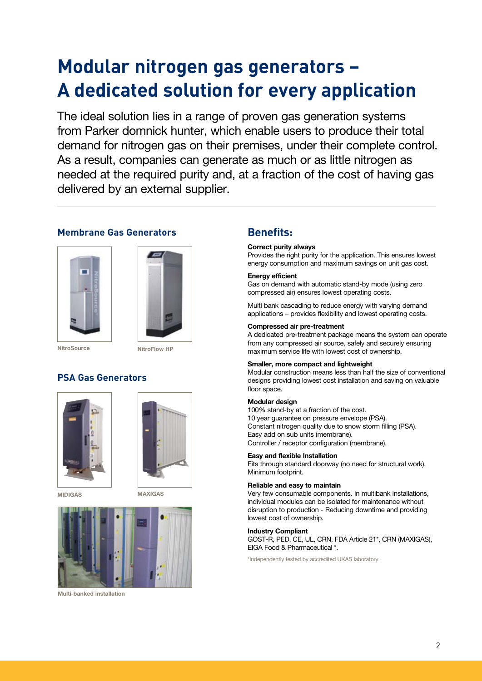# **Modular nitrogen gas generators – A dedicated solution for every application**

The ideal solution lies in a range of proven gas generation systems from Parker domnick hunter, which enable users to produce their total demand for nitrogen gas on their premises, under their complete control. As a result, companies can generate as much or as little nitrogen as needed at the required purity and, at a fraction of the cost of having gas delivered by an external supplier.

#### **Membrane Gas Generators**





**NitroSource** 

NitroFlow HP

#### **PSA Gas Generators**





MIDIGAS MAXIGAS



Multi-banked installation

#### **Benefits:**

#### Correct purity always

Provides the right purity for the application. This ensures lowest energy consumption and maximum savings on unit gas cost.

#### Energy efficient

Gas on demand with automatic stand-by mode (using zero compressed air) ensures lowest operating costs.

Multi bank cascading to reduce energy with varying demand applications – provides flexibility and lowest operating costs.

#### Compressed air pre-treatment

A dedicated pre-treatment package means the system can operate from any compressed air source, safely and securely ensuring maximum service life with lowest cost of ownership.

#### Smaller, more compact and lightweight

Modular construction means less than half the size of conventional designs providing lowest cost installation and saving on valuable floor space.

#### Modular design

100% stand-by at a fraction of the cost. 10 year guarantee on pressure envelope (PSA). Constant nitrogen quality due to snow storm filling (PSA). Easy add on sub units (membrane). Controller / receptor configuration (membrane).

#### Easy and flexible Installation

Fits through standard doorway (no need for structural work). Minimum footprint.

#### Reliable and easy to maintain

Very few consumable components. In multibank installations, individual modules can be isolated for maintenance without disruption to production - Reducing downtime and providing lowest cost of ownership.

#### Industry Compliant

GOST-R, PED, CE, UL, CRN, FDA Article 21\*, CRN (MAXIGAS), EIGA Food & Pharmaceutical \*.

\*Independently tested by accredited UKAS laboratory.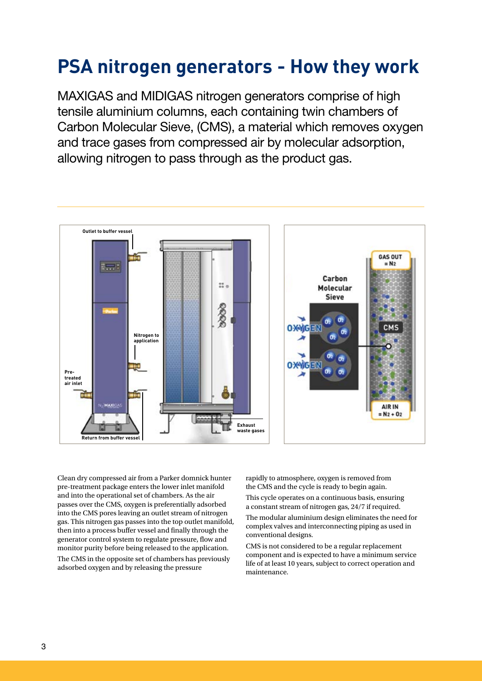## **PSA nitrogen generators - How they work**

MAXIGAS and MIDIGAS nitrogen generators comprise of high tensile aluminium columns, each containing twin chambers of Carbon Molecular Sieve, (CMS), a material which removes oxygen and trace gases from compressed air by molecular adsorption, allowing nitrogen to pass through as the product gas.



Clean dry compressed air from a Parker domnick hunter pre-treatment package enters the lower inlet manifold and into the operational set of chambers. As the air passes over the CMS, oxygen is preferentially adsorbed into the CMS pores leaving an outlet stream of nitrogen gas. This nitrogen gas passes into the top outlet manifold, then into a process buffer vessel and finally through the generator control system to regulate pressure, flow and monitor purity before being released to the application.

The CMS in the opposite set of chambers has previously adsorbed oxygen and by releasing the pressure

rapidly to atmosphere, oxygen is removed from the CMS and the cycle is ready to begin again.

This cycle operates on a continuous basis, ensuring a constant stream of nitrogen gas, 24/7 if required.

The modular aluminium design eliminates the need for complex valves and interconnecting piping as used in conventional designs.

CMS is not considered to be a regular replacement component and is expected to have a minimum service life of at least 10 years, subject to correct operation and maintenance.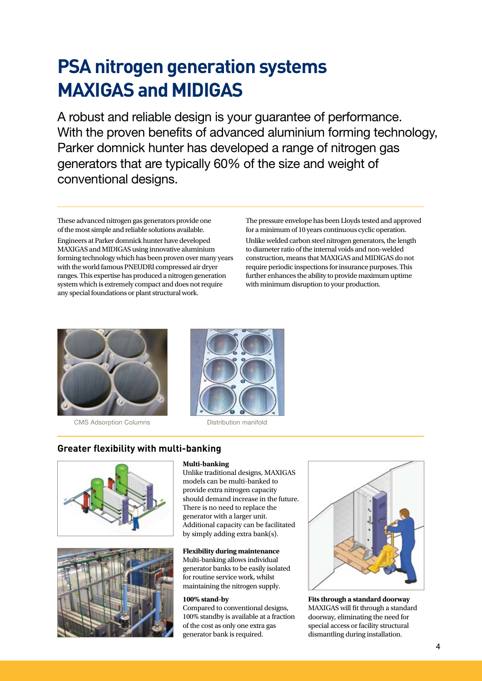# **PSA nitrogen generation systems MAXIGAS and MIDIGAS**

A robust and reliable design is your guarantee of performance. With the proven benefits of advanced aluminium forming technology, Parker domnick hunter has developed a range of nitrogen gas generators that are typically 60% of the size and weight of conventional designs.

These advanced nitrogen gas generators provide one of the most simple and reliable solutions available.

Engineers at Parker domnick hunter have developed MAXIGAS and MIDIGAS using innovative aluminium forming technology which has been proven over many years with the world famous PNEUDRI compressed air dryer ranges. This expertise has produced a nitrogen generation system which is extremely compact and does not require any special foundations or plant structural work.

The pressure envelope has been Lloyds tested and approved for a minimum of 10 years continuous cyclic operation. Unlike welded carbon steel nitrogen generators, the length to diameter ratio of the internal voids and non-welded construction, means that MAXIGAS and MIDIGAS do not require periodic inspections for insurance purposes. This further enhances the ability to provide maximum uptime with minimum disruption to your production.



CMS Adsorption Columns Distribution manifold



#### **Greater flexibility with multi-banking**





#### **Multi-banking**

Unlike traditional designs, MAXIGAS models can be multi-banked to provide extra nitrogen capacity should demand increase in the future. There is no need to replace the generator with a larger unit. Additional capacity can be facilitated by simply adding extra bank(s).

#### **Flexibility during maintenance**

Multi-banking allows individual generator banks to be easily isolated for routine service work, whilst maintaining the nitrogen supply.

#### **100% stand-by**

Compared to conventional designs, 100% standby is available at a fraction of the cost as only one extra gas generator bank is required.



**Fits through a standard doorway** MAXIGAS will fit through a standard doorway, eliminating the need for special access or facility structural dismantling during installation.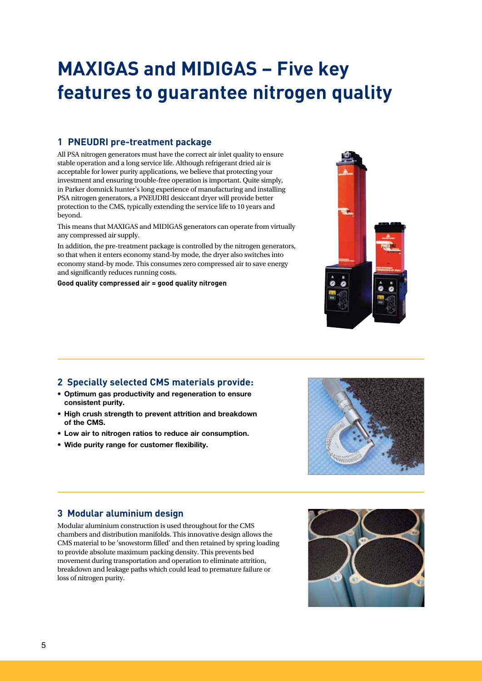# **MAXIGAS and MIDIGAS – Five key features to guarantee nitrogen quality**

#### **1 PNEUDRI pre-treatment package**

All PSA nitrogen generators must have the correct air inlet quality to ensure stable operation and a long service life. Although refrigerant dried air is acceptable for lower purity applications, we believe that protecting your investment and ensuring trouble-free operation is important. Quite simply, in Parker domnick hunter's long experience of manufacturing and installing PSA nitrogen generators, a PNEUDRI desiccant dryer will provide better protection to the CMS, typically extending the service life to 10 years and beyond.

This means that MAXIGAS and MIDIGAS generators can operate from virtually any compressed air supply.

In addition, the pre-treatment package is controlled by the nitrogen generators, so that when it enters economy stand-by mode, the dryer also switches into economy stand-by mode. This consumes zero compressed air to save energy and significantly reduces running costs.

**Good quality compressed air = good quality nitrogen**



#### **2 Specially selected CMS materials provide:**

- • Optimum gas productivity and regeneration to ensure consistent purity.
- High crush strength to prevent attrition and breakdown of the CMS.
- • Low air to nitrogen ratios to reduce air consumption.
- • Wide purity range for customer flexibility.



#### **3 Modular aluminium design**

Modular aluminium construction is used throughout for the CMS chambers and distribution manifolds. This innovative design allows the CMS material to be 'snowstorm filled' and then retained by spring loading to provide absolute maximum packing density. This prevents bed movement during transportation and operation to eliminate attrition, breakdown and leakage paths which could lead to premature failure or loss of nitrogen purity.

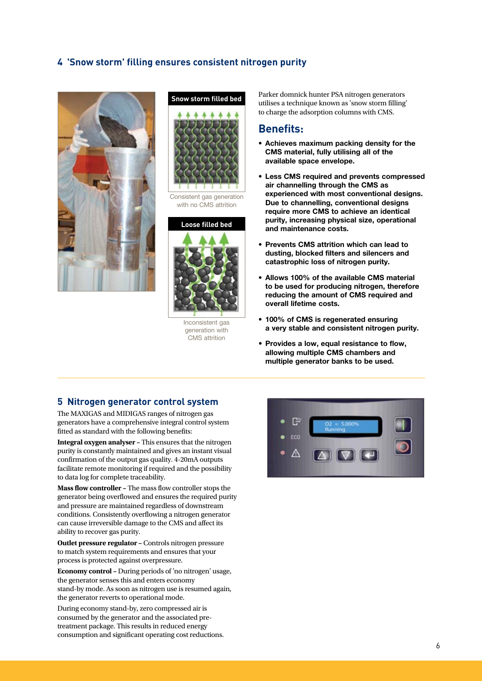#### **4 'Snow storm' filling ensures consistent nitrogen purity**



# **Snow storm filled bed**

Consistent gas generation with no CMS attrition



Inconsistent gas generation with CMS attrition

Parker domnick hunter PSA nitrogen generators utilises a technique known as 'snow storm filling' to charge the adsorption columns with CMS.

#### **Benefits:**

- Achieves maximum packing density for the CMS material, fully utilising all of the available space envelope.
- • Less CMS required and prevents compressed air channelling through the CMS as experienced with most conventional designs. Due to channelling, conventional designs require more CMS to achieve an identical purity, increasing physical size, operational and maintenance costs.
- • Prevents CMS attrition which can lead to dusting, blocked filters and silencers and catastrophic loss of nitrogen purity.
- Allows 100% of the available CMS material to be used for producing nitrogen, therefore reducing the amount of CMS required and overall lifetime costs.
- 100% of CMS is regenerated ensuring a very stable and consistent nitrogen purity.
- • Provides a low, equal resistance to flow, allowing multiple CMS chambers and multiple generator banks to be used.

#### **5 Nitrogen generator control system**

The MAXIGAS and MIDIGAS ranges of nitrogen gas generators have a comprehensive integral control system fitted as standard with the following benefits:

**Integral oxygen analyser –** This ensures that the nitrogen purity is constantly maintained and gives an instant visual confirmation of the output gas quality. 4-20mA outputs facilitate remote monitoring if required and the possibility to data log for complete traceability.

**Mass flow controller –** The mass flow controller stops the generator being overflowed and ensures the required purity and pressure are maintained regardless of downstream conditions. Consistently overflowing a nitrogen generator can cause irreversible damage to the CMS and affect its ability to recover gas purity.

**Outlet pressure regulator - Controls nitrogen pressure** to match system requirements and ensures that your process is protected against overpressure.

**Economy control –** During periods of 'no nitrogen' usage, the generator senses this and enters economy stand-by mode. As soon as nitrogen use is resumed again, the generator reverts to operational mode.

During economy stand-by, zero compressed air is consumed by the generator and the associated pretreatment package. This results in reduced energy consumption and significant operating cost reductions.

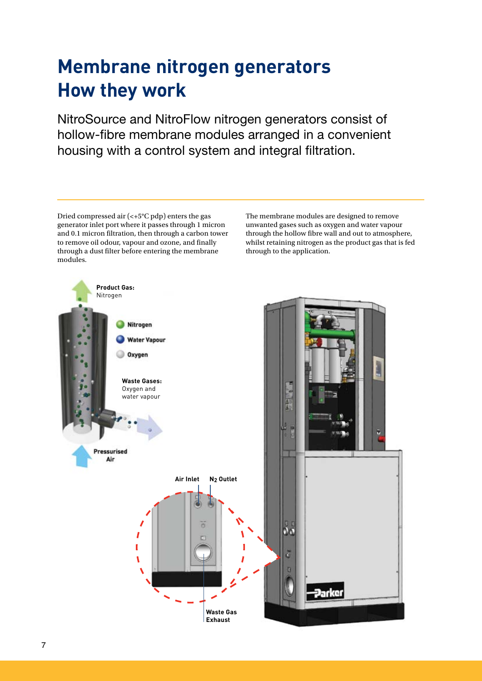# **Membrane nitrogen generators How they work**

NitroSource and NitroFlow nitrogen generators consist of hollow-fibre membrane modules arranged in a convenient housing with a control system and integral filtration.

Dried compressed air (<+5°C pdp) enters the gas generator inlet port where it passes through 1 micron and 0.1 micron filtration, then through a carbon tower to remove oil odour, vapour and ozone, and finally through a dust filter before entering the membrane modules.

The membrane modules are designed to remove unwanted gases such as oxygen and water vapour through the hollow fibre wall and out to atmosphere, whilst retaining nitrogen as the product gas that is fed through to the application.

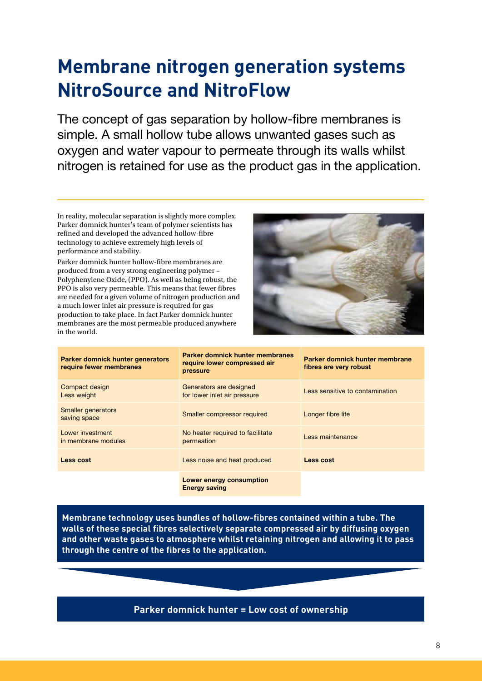# **Membrane nitrogen generation systems NitroSource and NitroFlow**

The concept of gas separation by hollow-fibre membranes is simple. A small hollow tube allows unwanted gases such as oxygen and water vapour to permeate through its walls whilst nitrogen is retained for use as the product gas in the application.

In reality, molecular separation is slightly more complex. Parker domnick hunter's team of polymer scientists has refined and developed the advanced hollow-fibre technology to achieve extremely high levels of performance and stability.

Parker domnick hunter hollow-fibre membranes are produced from a very strong engineering polymer – Polyphenylene Oxide, (PPO). As well as being robust, the PPO is also very permeable. This means that fewer fibres are needed for a given volume of nitrogen production and a much lower inlet air pressure is required for gas production to take place. In fact Parker domnick hunter membranes are the most permeable produced anywhere in the world.



| Parker domnick hunter generators<br>require fewer membranes | Parker domnick hunter membranes<br>require lower compressed air<br>pressure | Parker domnick hunter membrane<br>fibres are very robust |
|-------------------------------------------------------------|-----------------------------------------------------------------------------|----------------------------------------------------------|
| Compact design<br>Less weight                               | Generators are designed<br>for lower inlet air pressure                     | Less sensitive to contamination                          |
| <b>Smaller generators</b><br>saving space                   | Smaller compressor required                                                 | Longer fibre life                                        |
| Lower investment<br>in membrane modules                     | No heater required to facilitate<br>permeation                              | Less maintenance                                         |
| Less cost                                                   | Less noise and heat produced                                                | Less cost                                                |
|                                                             | <b>Lower energy consumption</b><br><b>Energy saving</b>                     |                                                          |

**Membrane technology uses bundles of hollow-fibres contained within a tube. The walls of these special fibres selectively separate compressed air by diffusing oxygen and other waste gases to atmosphere whilst retaining nitrogen and allowing it to pass through the centre of the fibres to the application.**

#### **Parker domnick hunter = Low cost of ownership**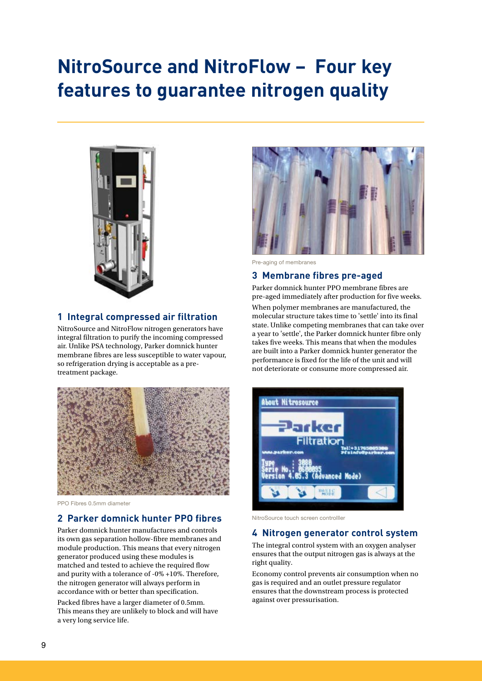# **NitroSource and NitroFlow – Four key features to guarantee nitrogen quality**



#### **1 Integral compressed air filtration**

NitroSource and NitroFlow nitrogen generators have integral filtration to purify the incoming compressed air. Unlike PSA technology, Parker domnick hunter membrane fibres are less susceptible to water vapour, so refrigeration drying is acceptable as a pretreatment package.



PPO Fibres 0.5mm diameter

#### **2 Parker domnick hunter PPO fibres**

Parker domnick hunter manufactures and controls its own gas separation hollow-fibre membranes and module production. This means that every nitrogen generator produced using these modules is matched and tested to achieve the required flow and purity with a tolerance of -0% +10%. Therefore, the nitrogen generator will always perform in accordance with or better than specification.

Packed fibres have a larger diameter of 0.5mm. This means they are unlikely to block and will have a very long service life.



Pre-aging of membranes

#### **3 Membrane fibres pre-aged**

Parker domnick hunter PPO membrane fibres are pre-aged immediately after production for five weeks.

When polymer membranes are manufactured, the molecular structure takes time to 'settle' into its final state. Unlike competing membranes that can take over a year to 'settle', the Parker domnick hunter fibre only takes five weeks. This means that when the modules are built into a Parker domnick hunter generator the performance is fixed for the life of the unit and will not deteriorate or consume more compressed air.



NitroSource touch screen controlller

#### **4 Nitrogen generator control system**

The integral control system with an oxygen analyser ensures that the output nitrogen gas is always at the right quality.

Economy control prevents air consumption when no gas is required and an outlet pressure regulator ensures that the downstream process is protected against over pressurisation.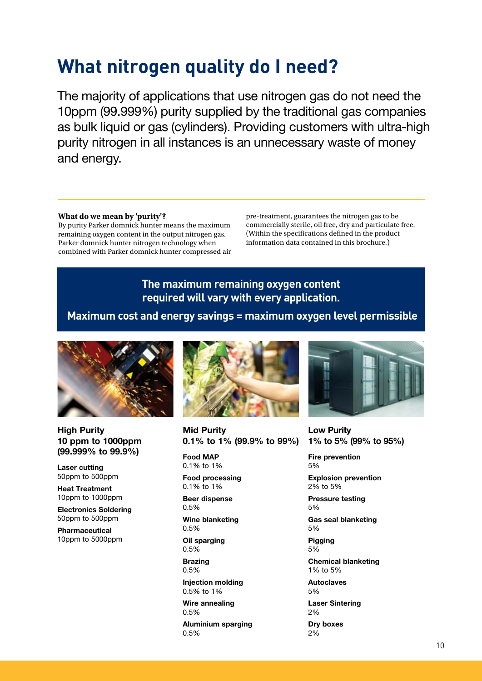## **What nitrogen quality do I need?**

The majority of applications that use nitrogen gas do not need the 10ppm (99.999%) purity supplied by the traditional gas companies as bulk liquid or gas (cylinders). Providing customers with ultra-high purity nitrogen in all instances is an unnecessary waste of money and energy.

#### **What do we mean by 'purity'?**

By purity Parker domnick hunter means the maximum remaining oxygen content in the output nitrogen gas. Parker domnick hunter nitrogen technology when combined with Parker domnick hunter compressed air pre-treatment, guarantees the nitrogen gas to be commercially sterile, oil free, dry and particulate free. (Within the specifications defined in the product information data contained in this brochure.)

## **The maximum remaining oxygen content required will vary with every application.**

 **Maximum cost and energy savings = maximum oxygen level permissible**



**High Purity** 10 ppm to 1000ppm (99.999% to 99.9%)

Laser cutting 50ppm to 500ppm

Heat Treatment 10ppm to 1000ppm

Electronics Soldering 50ppm to 500ppm

Pharmaceutical 10ppm to 5000ppm



Mid Purity 0.1% to 1% (99.9% to 99%)

Food MAP 0.1% to 1%

Food processing 0.1% to 1%

Beer dispense 0.5%

Wine blanketing 0.5%

Oil sparging 0.5%

Brazing 0.5%

Injection molding 0.5% to 1%

Wire annealing 0.5%

Aluminium sparging 0.5%



Low Purity 1% to 5% (99% to 95%)

Fire prevention 5%

Explosion prevention 2% to 5%

Pressure testing 5%

Gas seal blanketing 5%

Pigging 5%

Chemical blanketing 1% to 5%

Autoclaves 5%

Laser Sintering 2%

Dry boxes 2%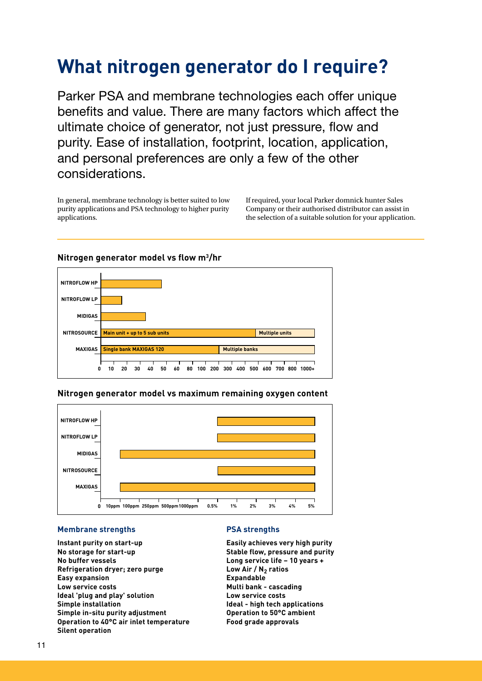## **What nitrogen generator do I require?**

Parker PSA and membrane technologies each offer unique benefits and value. There are many factors which affect the ultimate choice of generator, not just pressure, flow and purity. Ease of installation, footprint, location, application, and personal preferences are only a few of the other considerations.

In general, membrane technology is better suited to low purity applications and PSA technology to higher purity applications.

If required, your local Parker domnick hunter Sales Company or their authorised distributor can assist in the selection of a suitable solution for your application.



#### **Nitrogen generator model vs flow m<sup>3</sup>/hr**





#### **Membrane strengths**

**Instant purity on start-up No storage for start-up No buffer vessels Refrigeration dryer; zero purge Easy expansion Low service costs Ideal 'plug and play' solution Simple installation Simple in-situ purity adjustment Operation to 40°C air inlet temperature Silent operation**

#### **PSA strengths 0 10ppm 100ppm 250ppm 500ppm1000ppm 0.5% 1% 2% 3% 4% 5%**

**Easily achieves very high purity Stable flow, pressure and purity Long service life – 10 years +** Low Air / N<sub>2</sub> ratios **Expandable Multi bank - cascading Low service costs Ideal - high tech applications Operation to 50°C ambient Food grade approvals**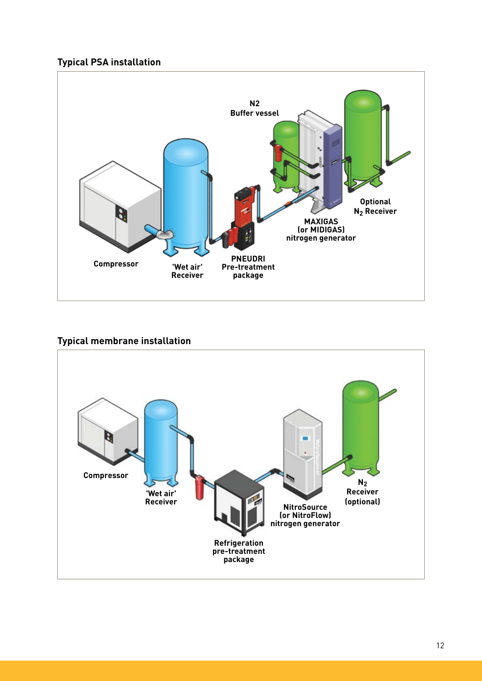## **Typical PSA installation**



#### **Typical membrane installation**

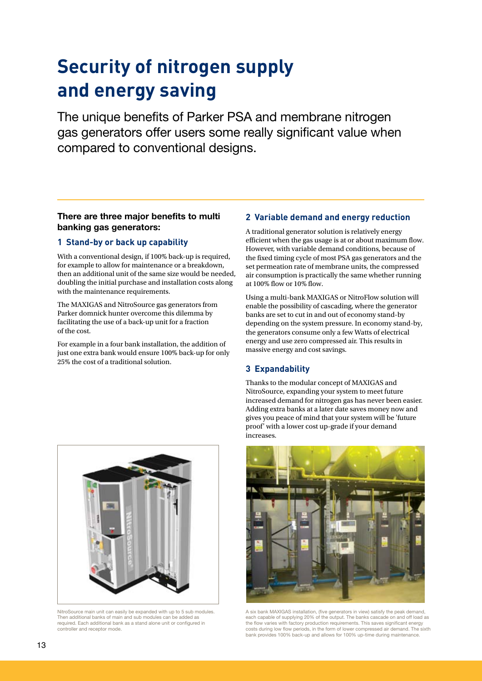# **Security of nitrogen supply and energy saving**

The unique benefits of Parker PSA and membrane nitrogen gas generators offer users some really significant value when compared to conventional designs.

#### There are three major benefits to multi banking gas generators:

#### **1 Stand-by or back up capability**

With a conventional design, if 100% back-up is required, for example to allow for maintenance or a breakdown, then an additional unit of the same size would be needed, doubling the initial purchase and installation costs along with the maintenance requirements.

The MAXIGAS and NitroSource gas generators from Parker domnick hunter overcome this dilemma by facilitating the use of a back-up unit for a fraction of the cost.

For example in a four bank installation, the addition of just one extra bank would ensure 100% back-up for only 25% the cost of a traditional solution.

#### **2 Variable demand and energy reduction**

A traditional generator solution is relatively energy efficient when the gas usage is at or about maximum flow. However, with variable demand conditions, because of the fixed timing cycle of most PSA gas generators and the set permeation rate of membrane units, the compressed air consumption is practically the same whether running at 100% flow or 10% flow.

Using a multi-bank MAXIGAS or NitroFlow solution will enable the possibility of cascading, where the generator banks are set to cut in and out of economy stand-by depending on the system pressure. In economy stand-by, the generators consume only a few Watts of electrical energy and use zero compressed air. This results in massive energy and cost savings.

#### **3 Expandability**

Thanks to the modular concept of MAXIGAS and NitroSource, expanding your system to meet future increased demand for nitrogen gas has never been easier. Adding extra banks at a later date saves money now and gives you peace of mind that your system will be 'future proof' with a lower cost up-grade if your demand increases.



A six bank MAXIGAS installation, (five generators in view) satisfy the peak demand, each capable of supplying 20% of the output. The banks cascade on and off load as the flow varies with factory production requirements. This saves significant energy costs during low flow periods, in the form of lower compressed air demand. The sixth bank provides 100% back-up and allows for 100% up-time during maintenance.



NitroSource main unit can easily be expanded with up to 5 sub modules. Then additional banks of main and sub modules can be added as required. Each additional bank as a stand alone unit or configured in controller and receptor mode.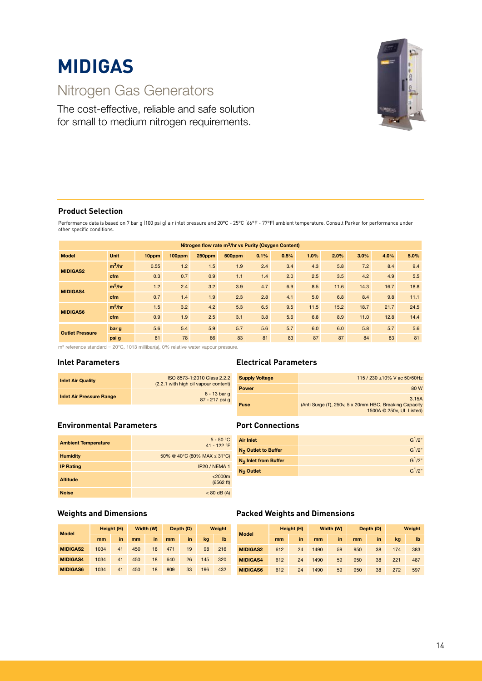# **MIDIGAS**

## Nitrogen Gas Generators

The cost-effective, reliable and safe solution for small to medium nitrogen requirements.



#### **Product Selection**

Performance data is based on 7 bar g (100 psi g) air inlet pressure and 20°C - 25°C (66°F - 77°F) ambient temperature. Consult Parker for performance under other specific conditions.

| Nitrogen flow rate m <sup>3</sup> /hr vs Purity (Oxygen Content) |             |       |        |        |        |      |      |      |      |      |      |      |
|------------------------------------------------------------------|-------------|-------|--------|--------|--------|------|------|------|------|------|------|------|
| <b>Model</b>                                                     | <b>Unit</b> | 10ppm | 100ppm | 250ppm | 500ppm | 0.1% | 0.5% | 1.0% | 2.0% | 3.0% | 4.0% | 5.0% |
|                                                                  | $m^3/hr$    | 0.55  | 1.2    | 1.5    | 1.9    | 2.4  | 3.4  | 4.3  | 5.8  | 7.2  | 8.4  | 9.4  |
| <b>MIDIGAS2</b>                                                  | cfm         | 0.3   | 0.7    | 0.9    | 1.1    | 1.4  | 2.0  | 2.5  | 3.5  | 4.2  | 4.9  | 5.5  |
|                                                                  | $m^3/hr$    | 1.2   | 2.4    | 3.2    | 3.9    | 4.7  | 6.9  | 8.5  | 11.6 | 14.3 | 16.7 | 18.8 |
| <b>MIDIGAS4</b>                                                  | cfm         | 0.7   | 1.4    | 1.9    | 2.3    | 2.8  | 4.1  | 5.0  | 6.8  | 8.4  | 9.8  | 11.1 |
| <b>MIDIGAS6</b>                                                  | $m^3/hr$    | 1.5   | 3.2    | 4.2    | 5.3    | 6.5  | 9.5  | 11.5 | 15.2 | 18.7 | 21.7 | 24.5 |
|                                                                  | cfm         | 0.9   | 1.9    | 2.5    | 3.1    | 3.8  | 5.6  | 6.8  | 8.9  | 11.0 | 12.8 | 14.4 |
|                                                                  | bar g       | 5.6   | 5.4    | 5.9    | 5.7    | 5.6  | 5.7  | 6.0  | 6.0  | 5.8  | 5.7  | 5.6  |
| <b>Outlet Pressure</b>                                           | psi g       | 81    | 78     | 86     | 83     | 81   | 83   | 87   | 87   | 84   | 83   | 81   |

m3 reference standard = 20°C, 1013 millibar(a), 0% relative water vapour pressure.

#### **Inlet Parameters**

| <b>Inlet Air Quality</b>        | ISO 8573-1:2010 Class 2.2.2<br>(2.2.1 with high oil vapour content) |
|---------------------------------|---------------------------------------------------------------------|
| <b>Inlet Air Pressure Range</b> | 6 - 13 bar g<br>87 - 217 psi q                                      |

#### **Environmental Parameters**

| <b>Ambient Temperature</b> | $5 - 50 °C$<br>41 - 122 °F       |
|----------------------------|----------------------------------|
| <b>Humidity</b>            | 50% @ 40°C (80% MAX $\leq$ 31°C) |
| <b>IP Rating</b>           | IP20 / NEMA 1                    |
| <b>Altitude</b>            | $<$ 2000 $m$<br>(6562 ft)        |
| <b>Noise</b>               | $< 80$ dB (A)                    |

#### **Electrical Parameters**

| <b>Supply Voltage</b> | 115 / 230 ± 10% V ac 50/60Hz                                                                |
|-----------------------|---------------------------------------------------------------------------------------------|
| Power                 | 80 W                                                                                        |
| Fuse                  | 3.15A<br>(Anti Surge (T), 250v, 5 x 20mm HBC, Breaking Capacity<br>1500A @ 250v, UL Listed) |

#### **Port Connections**

| <b>Air Inlet</b>                       | G <sup>1</sup> /2"             |
|----------------------------------------|--------------------------------|
| <b>N<sub>2</sub> Outlet to Buffer</b>  | G <sup>1</sup> /2"             |
| <b>N<sub>2</sub></b> Inlet from Buffer | G <sup>1</sup> /2"             |
| N <sub>2</sub> Outlet                  | G <sup>1</sup> /2 <sup>n</sup> |

| <b>Model</b>    |      | Height (H) |     | Width (W) |     | Depth (D) | Weight |     |  |
|-----------------|------|------------|-----|-----------|-----|-----------|--------|-----|--|
|                 | mm   | in         | mm  | in        | mm  | in        | ka     | lb  |  |
| <b>MIDIGAS2</b> | 1034 | 41         | 450 | 18        | 471 | 19        | 98     | 216 |  |
| <b>MIDIGAS4</b> | 1034 | 41         | 450 | 18        | 640 | 26        | 145    | 320 |  |
| <b>MIDIGAS6</b> | 1034 | 41         | 450 | 18        | 809 | 33        | 196    | 432 |  |

#### **Weights and Dimensions Packed Weights and Dimensions**

| <b>Model</b>    |     | Height (H) |      | Width (W) |     | Depth (D) | Weight |     |  |
|-----------------|-----|------------|------|-----------|-----|-----------|--------|-----|--|
|                 | mm  | in         | mm   | in        | mm  | in        | kg     | lb  |  |
| <b>MIDIGAS2</b> | 612 | 24         | 1490 | 59        | 950 | 38        | 174    | 383 |  |
| <b>MIDIGAS4</b> | 612 | 24         | 1490 | 59        | 950 | 38        | 221    | 487 |  |
| <b>MIDIGAS6</b> | 612 | 24         | 1490 | 59        | 950 | 38        | 272    | 597 |  |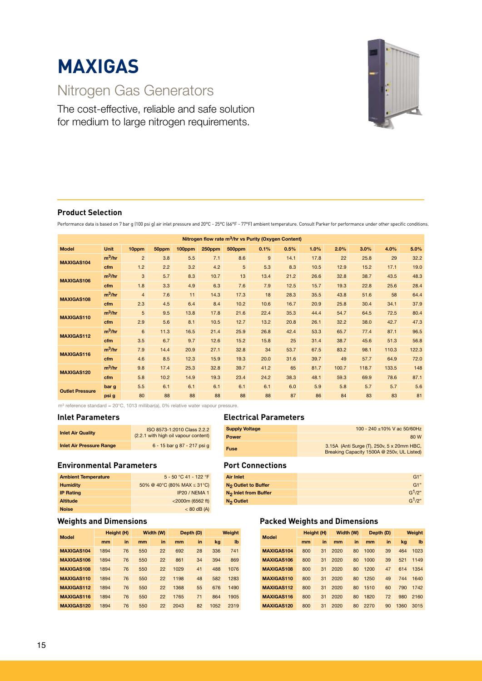# **MAXIGAS**

## Nitrogen Gas Generators

The cost-effective, reliable and safe solution for medium to large nitrogen requirements.



#### **Product Selection**

Performance data is based on 7 bar g (100 psi g) air inlet pressure and 20°C - 25°C (66°F - 77°F) ambient temperature. Consult Parker for performance under other specific conditions.

| Nitrogen flow rate m <sup>3</sup> /hr vs Purity (Oxygen Content) |           |                |       |        |        |        |      |      |      |       |       |       |       |
|------------------------------------------------------------------|-----------|----------------|-------|--------|--------|--------|------|------|------|-------|-------|-------|-------|
| <b>Model</b>                                                     | Unit      | 10ppm          | 50ppm | 100ppm | 250ppm | 500ppm | 0.1% | 0.5% | 1.0% | 2.0%  | 3.0%  | 4.0%  | 5.0%  |
| MAXIGAS104                                                       | $m^3/hr$  | $\overline{2}$ | 3.8   | 5.5    | 7.1    | 8.6    | 9    | 14.1 | 17.8 | 22    | 25.8  | 29    | 32.2  |
|                                                                  | cfm       | 1.2            | 2.2   | 3.2    | 4.2    | 5      | 5.3  | 8.3  | 10.5 | 12.9  | 15.2  | 17.1  | 19.0  |
| MAXIGAS106                                                       | $m^3/hr$  | 3              | 5.7   | 8.3    | 10.7   | 13     | 13.4 | 21.2 | 26.6 | 32.8  | 38.7  | 43.5  | 48.3  |
|                                                                  | cfm       | 1.8            | 3.3   | 4.9    | 6.3    | 7.6    | 7.9  | 12.5 | 15.7 | 19.3  | 22.8  | 25.6  | 28.4  |
| <b>MAXIGAS108</b>                                                | $m^3/hr$  | $\overline{4}$ | 7.6   | 11     | 14.3   | 17.3   | 18   | 28.3 | 35.5 | 43.8  | 51.6  | 58    | 64.4  |
|                                                                  | cfm       | 2.3            | 4.5   | 6.4    | 8.4    | 10.2   | 10.6 | 16.7 | 20.9 | 25.8  | 30.4  | 34.1  | 37.9  |
| MAXIGAS110                                                       | $m^3$ /hr | 5              | 9.5   | 13.8   | 17.8   | 21.6   | 22.4 | 35.3 | 44.4 | 54.7  | 64.5  | 72.5  | 80.4  |
|                                                                  | cfm       | 2.9            | 5.6   | 8.1    | 10.5   | 12.7   | 13.2 | 20.8 | 26.1 | 32.2  | 38.0  | 42.7  | 47.3  |
| MAXIGAS112                                                       | $m^3/hr$  | $6\phantom{1}$ | 11.3  | 16.5   | 21.4   | 25.9   | 26.8 | 42.4 | 53.3 | 65.7  | 77.4  | 87.1  | 96.5  |
|                                                                  | cfm       | 3.5            | 6.7   | 9.7    | 12.6   | 15.2   | 15.8 | 25   | 31.4 | 38.7  | 45.6  | 51.3  | 56.8  |
| MAXIGAS116                                                       | $m^3/hr$  | 7.9            | 14.4  | 20.9   | 27.1   | 32.8   | 34   | 53.7 | 67.5 | 83.2  | 98.1  | 110.3 | 122.3 |
|                                                                  | cfm       | 4.6            | 8.5   | 12.3   | 15.9   | 19.3   | 20.0 | 31.6 | 39.7 | 49    | 57.7  | 64.9  | 72.0  |
| <b>MAXIGAS120</b>                                                | $m^3/hr$  | 9.8            | 17.4  | 25.3   | 32.8   | 39.7   | 41.2 | 65   | 81.7 | 100.7 | 118.7 | 133.5 | 148   |
|                                                                  | cfm       | 5.8            | 10.2  | 14.9   | 19.3   | 23.4   | 24.2 | 38.3 | 48.1 | 59.3  | 69.9  | 78.6  | 87.1  |
| <b>Outlet Pressure</b>                                           | bar g     | 5.5            | 6.1   | 6.1    | 6.1    | 6.1    | 6.1  | 6.0  | 5.9  | 5.8   | 5.7   | 5.7   | 5.6   |
|                                                                  | psi g     | 80             | 88    | 88     | 88     | 88     | 88   | 87   | 86   | 84    | 83    | 83    | 81    |

 $m^3$  reference standard = 20°C, 1013 millibar(a), 0% relative water vapour pressure.

#### **Inlet Parameters**

| <b>Inlet Air Quality</b>        | ISO 8573-1:2010 Class 2.2.2<br>(2.2.1 with high oil vapour content) |
|---------------------------------|---------------------------------------------------------------------|
| <b>Inlet Air Pressure Range</b> | 6 - 15 bar q 87 - 217 psi q                                         |

#### **Environmental Parameters**

| <b>Ambient Temperature</b> | 5 - 50 °C 41 - 122 °F            |
|----------------------------|----------------------------------|
| <b>Humidity</b>            | 50% @ 40°C (80% MAX $\leq$ 31°C) |
| <b>IP Rating</b>           | IP20 / NEMA 1                    |
| <b>Altitude</b>            | <2000m (6562 ft)                 |
| <b>Noise</b>               | $< 80$ dB (A)                    |

#### **Weights and Dimensions**

| <b>Model</b>      | Height (H) |    |     | Width (W) |      | Depth (D) | Weight |              |  |
|-------------------|------------|----|-----|-----------|------|-----------|--------|--------------|--|
|                   | mm         | in | mm  | in        | mm   | in        | kg     | $\mathbf{I}$ |  |
| MAXIGAS104        | 1894       | 76 | 550 | 22        | 692  | 28        | 336    | 741          |  |
| MAXIGAS106        | 1894       | 76 | 550 | 22        | 861  | 34        | 394    | 869          |  |
| MAXIGAS108        | 1894       | 76 | 550 | 22        | 1029 | 41        | 488    | 1076         |  |
| MAXIGAS110        | 1894       | 76 | 550 | 22        | 1198 | 48        | 582    | 1283         |  |
| MAXIGAS112        | 1894       | 76 | 550 | 22        | 1368 | 55        | 676    | 1490         |  |
| MAXIGAS116        | 1894       | 76 | 550 | 22        | 1765 | 71        | 864    | 1905         |  |
| <b>MAXIGAS120</b> | 1894       | 76 | 550 | 22        | 2043 | 82        | 1052   | 2319         |  |

#### **Electrical Parameters**

| <b>Supply Voltage</b> | 100 - 240 ± 10% V ac 50/60Hz                                                             |
|-----------------------|------------------------------------------------------------------------------------------|
| <b>Power</b>          | 80 W                                                                                     |
| Fuse                  | 3.15A (Anti Surge (T), 250v, 5 x 20mm HBC,<br>Breaking Capacity 1500A @ 250v, UL Listed) |

#### **Port Connections**

| <b>Air Inlet</b>                 | G1"                |
|----------------------------------|--------------------|
| N <sub>2</sub> Outlet to Buffer  | G1"                |
| N <sub>2</sub> Inlet from Buffer | G <sup>1</sup> /2" |
| $N_2$ Outlet                     | G <sup>1</sup> /2" |

#### **Packed Weights and Dimensions**

| <b>Model</b>      | Height (H) |    | Width (W) |    | Depth (D) |    | Weight |              |
|-------------------|------------|----|-----------|----|-----------|----|--------|--------------|
|                   | mm         | in | mm        | in | mm        | in | kg     | $\mathbf{I}$ |
| MAXIGAS104        | 800        | 31 | 2020      | 80 | 1000      | 39 | 464    | 1023         |
| MAXIGAS106        | 800        | 31 | 2020      | 80 | 1000      | 39 | 521    | 1149         |
| MAXIGAS108        | 800        | 31 | 2020      | 80 | 1200      | 47 | 614    | 1354         |
| MAXIGAS110        | 800        | 31 | 2020      | 80 | 1250      | 49 | 744    | 1640         |
| MAXIGAS112        | 800        | 31 | 2020      | 80 | 1510      | 60 | 790    | 1742         |
| MAXIGAS116        | 800        | 31 | 2020      | 80 | 1820      | 72 | 980    | 2160         |
| <b>MAXIGAS120</b> | 800        | 31 | 2020      | 80 | 2270      | 90 | 1360   | 3015         |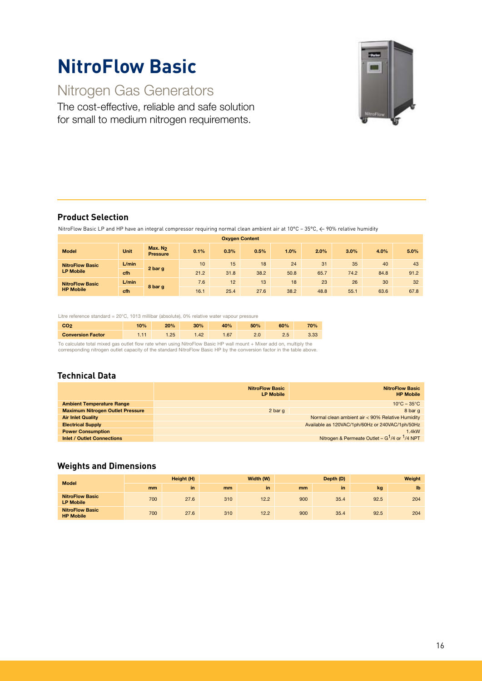# **NitroFlow Basic**

## Nitrogen Gas Generators

The cost-effective, reliable and safe solution for small to medium nitrogen requirements.



#### **Product Selection**

NitroFlow Basic LP and HP have an integral compressor requiring normal clean ambient air at 10°C – 35°C, < 90% relative humidity

| <b>Oxygen Content</b>  |             |                              |      |      |      |      |      |      |      |      |
|------------------------|-------------|------------------------------|------|------|------|------|------|------|------|------|
| <b>Model</b>           | <b>Unit</b> | Max. $N2$<br><b>Pressure</b> | 0.1% | 0.3% | 0.5% | 1.0% | 2.0% | 3.0% | 4.0% | 5.0% |
| <b>NitroFlow Basic</b> | L/min       | 2 bar g                      | 10   | 15   | 18   | 24   | 31   | 35   | 40   | 43   |
| <b>LP Mobile</b>       | cfh         |                              | 21.2 | 31.8 | 38.2 | 50.8 | 65.7 | 74.2 | 84.8 | 91.2 |
| <b>NitroFlow Basic</b> | L/min       | 8 bar g                      | 7.6  | 12   | 13   | 18   | 23   | 26   | 30   | 32   |
| <b>HP Mobile</b>       | cfh         |                              | 16.1 | 25.4 | 27.6 | 38.2 | 48.8 | 55.1 | 63.6 | 67.8 |

Litre reference standard = 20°C, 1013 millibar (absolute), 0% relative water vapour pressure

| CO <sub>2</sub>          | 10%   | 20% | 30% | 40%  | 50% | 60% | 70%  |
|--------------------------|-------|-----|-----|------|-----|-----|------|
| <b>Conversion Factor</b> | $-11$ | .25 | .42 | 1.67 |     | 2.5 | 3.33 |
|                          |       |     |     |      |     |     | .    |

To calculate total mixed gas outlet flow rate when using NitroFlow Basic HP wall mount + Mixer add on, multiply the<br>corresponding nitrogen outlet capacity of the standard NitroFlow Basic HP by the conversion factor in the

#### **Technical Data**

|                                         | <b>NitroFlow Basic</b><br><b>LP Mobile</b> | <b>NitroFlow Basic</b><br><b>HP Mobile</b>       |
|-----------------------------------------|--------------------------------------------|--------------------------------------------------|
| <b>Ambient Temperature Range</b>        |                                            | $10^{\circ}$ C – 35 $^{\circ}$ C                 |
| <b>Maximum Nitrogen Outlet Pressure</b> | 2 bar q                                    | 8 bar q                                          |
| <b>Air Inlet Quality</b>                |                                            | Normal clean ambient air < 90% Relative Humidity |
| <b>Electrical Supply</b>                |                                            | Available as 120VAC/1ph/60Hz or 240VAC/1ph/50Hz  |
| <b>Power Consumption</b>                |                                            | 1.4kW                                            |
| <b>Inlet / Outlet Connections</b>       |                                            | Nitrogen & Permeate Outlet – $G1/4$ or $1/4$ NPT |

#### **Weights and Dimensions**

| <b>Model</b>                               | Height (H) |      | Width (W) |      |     | Depth (D) |      | Weight       |  |
|--------------------------------------------|------------|------|-----------|------|-----|-----------|------|--------------|--|
|                                            | mm         | in   | mm        | in   | mm  | in.       | kg   | $\mathbf{I}$ |  |
| <b>NitroFlow Basic</b><br><b>LP Mobile</b> | 700        | 27.6 | 310       | 12.2 | 900 | 35.4      | 92.5 | 204          |  |
| <b>NitroFlow Basic</b><br><b>HP Mobile</b> | 700        | 27.6 | 310       | 12.2 | 900 | 35.4      | 92.5 | 204          |  |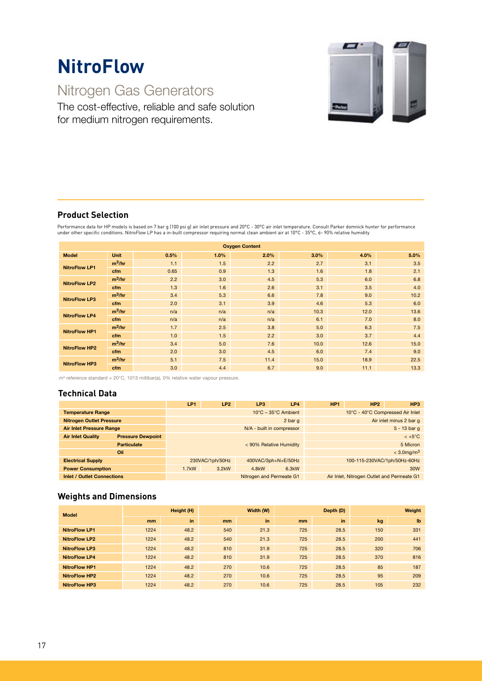# **NitroFlow**

## Nitrogen Gas Generators

The cost-effective, reliable and safe solution for medium nitrogen requirements.



#### **Product Selection**

Performance data for HP models is based on 7 bar g (100 psi g) air inlet pressure and 20°C - 30°C air inlet temperature. Consult Parker domnick hunter for performance<br>under other specific conditions. NitroFlow LP has a in

| <b>Oxygen Content</b> |             |      |      |      |      |      |      |
|-----------------------|-------------|------|------|------|------|------|------|
| <b>Model</b>          | <b>Unit</b> | 0.5% | 1.0% | 2.0% | 3.0% | 4.0% | 5.0% |
| <b>NitroFlow LP1</b>  | $m^3/hr$    | 1.1  | 1.5  | 2.2  | 2.7  | 3.1  | 3.5  |
|                       | cfm         | 0.65 | 0.9  | 1.3  | 1.6  | 1.8  | 2.1  |
| <b>NitroFlow LP2</b>  | $m^3/hr$    | 2.2  | 3.0  | 4.5  | 5.3  | 6.0  | 6.8  |
|                       | cfm         | 1.3  | 1.6  | 2.6  | 3.1  | 3.5  | 4.0  |
| <b>NitroFlow LP3</b>  | $m^3/hr$    | 3.4  | 5.3  | 6.6  | 7.8  | 9.0  | 10.2 |
|                       | cfm         | 2.0  | 3.1  | 3.9  | 4.6  | 5.3  | 6.0  |
| <b>NitroFlow LP4</b>  | $m^3/hr$    | n/a  | n/a  | n/a  | 10.3 | 12.0 | 13.6 |
|                       | cfm         | n/a  | n/a  | n/a  | 6.1  | 7.0  | 8.0  |
| <b>NitroFlow HP1</b>  | $m^3/hr$    | 1.7  | 2.5  | 3.8  | 5.0  | 6.3  | 7.5  |
|                       | cfm         | 1.0  | 1.5  | 2.2  | 3.0  | 3.7  | 4.4  |
| <b>NitroFlow HP2</b>  | $m^3/hr$    | 3.4  | 5.0  | 7.6  | 10.0 | 12.6 | 15.0 |
|                       | cfm         | 2.0  | 3.0  | 4.5  | 6.0  | 7.4  | 9.0  |
| <b>NitroFlow HP3</b>  | $m^3/hr$    | 5.1  | 7.5  | 11.4 | 15.0 | 18.9 | 22.5 |
|                       | cfm         | 3.0  | 4.4  | 6.7  | 9.0  | 11.1 | 13.3 |

m3 reference standard = 20°C, 1013 millibar(a), 0% relative water vapour pressure.

#### **Technical Data**

|                                   |                          | LP1      | LP <sub>2</sub>                          | LP3                | LP4                       | HP <sub>1</sub>                  | HP <sub>2</sub>                            | HP <sub>3</sub>           |  |
|-----------------------------------|--------------------------|----------|------------------------------------------|--------------------|---------------------------|----------------------------------|--------------------------------------------|---------------------------|--|
| <b>Temperature Range</b>          |                          |          | $10^{\circ}$ C – 35 $^{\circ}$ C Ambient |                    |                           | 10°C - 40°C Compressed Air Inlet |                                            |                           |  |
| <b>Nitrogen Outlet Pressure</b>   |                          |          |                                          |                    | 2 bar q                   | Air inlet minus 2 bar q          |                                            |                           |  |
| <b>Air Inlet Pressure Range</b>   |                          |          |                                          |                    | N/A - built in compressor | $5 - 13$ bar g                   |                                            |                           |  |
| <b>Air Inlet Quality</b>          | <b>Pressure Dewpoint</b> |          |                                          |                    |                           |                                  |                                            | $< +5^{\circ}C$           |  |
|                                   | <b>Particulate</b>       |          | < 90% Relative Humidity                  |                    |                           |                                  |                                            | 5 Micron                  |  |
|                                   | Oil                      |          |                                          |                    |                           |                                  |                                            | $<$ 3.0 mg/m <sup>3</sup> |  |
| <b>Electrical Supply</b>          |                          |          | 230VAC/1ph/50Hz                          |                    | 400VAC/3ph+N+E/50Hz       |                                  | 100-115-230VAC/1ph/50Hz-60Hz               |                           |  |
| <b>Power Consumption</b>          |                          | $1.7$ kW | 3.2kW                                    | 4.8 <sub>k</sub> W | 6.3kW                     |                                  |                                            | 30W                       |  |
| <b>Inlet / Outlet Connections</b> |                          |          |                                          |                    | Nitrogen and Permeate G1  |                                  | Air Inlet, Nitrogen Outlet and Permeate G1 |                           |  |

#### **Weights and Dimensions**

| <b>Model</b>         | Height (H) |      | Width (W)     |      | Depth (D) |      | Weight |              |
|----------------------|------------|------|---------------|------|-----------|------|--------|--------------|
|                      | mm         | in   | <sub>mm</sub> | in   | mm        | in   | kg     | $\mathbf{I}$ |
| <b>NitroFlow LP1</b> | 1224       | 48.2 | 540           | 21.3 | 725       | 28.5 | 150    | 331          |
| <b>NitroFlow LP2</b> | 1224       | 48.2 | 540           | 21.3 | 725       | 28.5 | 200    | 441          |
| <b>NitroFlow LP3</b> | 1224       | 48.2 | 810           | 31.9 | 725       | 28.5 | 320    | 706          |
| <b>NitroFlow LP4</b> | 1224       | 48.2 | 810           | 31.9 | 725       | 28.5 | 370    | 816          |
| <b>NitroFlow HP1</b> | 1224       | 48.2 | 270           | 10.6 | 725       | 28.5 | 85     | 187          |
| <b>NitroFlow HP2</b> | 1224       | 48.2 | 270           | 10.6 | 725       | 28.5 | 95     | 209          |
| <b>NitroFlow HP3</b> | 1224       | 48.2 | 270           | 10.6 | 725       | 28.5 | 105    | 232          |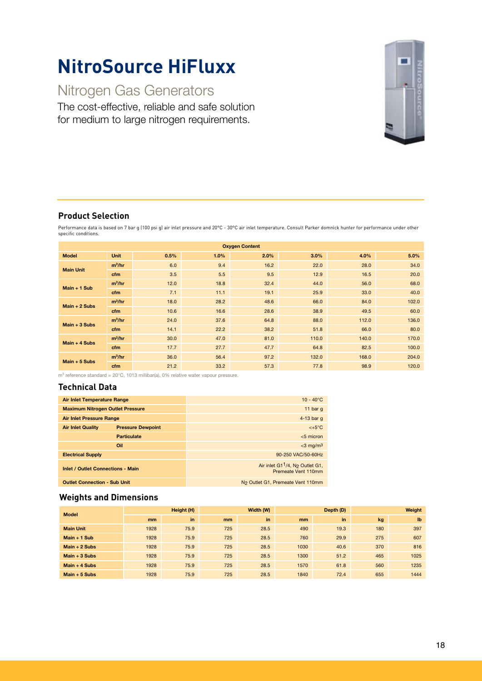## **NitroSource HiFluxx**

## Nitrogen Gas Generators

The cost-effective, reliable and safe solution for medium to large nitrogen requirements.



#### **Product Selection**

Performance data is based on 7 bar g (100 psi g) air inlet pressure and 20°C - 30°C air inlet temperature. Consult Parker domnick hunter for performance under other specific conditions.

| <b>Oxygen Content</b> |             |      |      |      |       |       |       |
|-----------------------|-------------|------|------|------|-------|-------|-------|
| <b>Model</b>          | <b>Unit</b> | 0.5% | 1.0% | 2.0% | 3.0%  | 4.0%  | 5.0%  |
| <b>Main Unit</b>      | $m^3/hr$    | 6.0  | 9.4  | 16.2 | 22.0  | 28.0  | 34.0  |
|                       | cfm         | 3.5  | 5.5  | 9.5  | 12.9  | 16.5  | 20.0  |
| $Main + 1 Sub$        | $m^3/hr$    | 12.0 | 18.8 | 32.4 | 44.0  | 56.0  | 68.0  |
|                       | cfm         | 7.1  | 11.1 | 19.1 | 25.9  | 33.0  | 40.0  |
| $Main + 2 Subs$       | $m^3/hr$    | 18.0 | 28.2 | 48.6 | 66.0  | 84.0  | 102.0 |
|                       | cfm         | 10.6 | 16.6 | 28.6 | 38.9  | 49.5  | 60.0  |
| $Main + 3 Subs$       | $m^3/hr$    | 24.0 | 37.6 | 64.8 | 88.0  | 112.0 | 136.0 |
|                       | cfm         | 14.1 | 22.2 | 38.2 | 51.8  | 66.0  | 80.0  |
| Main $+4$ Subs        | $m^3/hr$    | 30.0 | 47.0 | 81.0 | 110.0 | 140.0 | 170.0 |
|                       | cfm         | 17.7 | 27.7 | 47.7 | 64.8  | 82.5  | 100.0 |
| $Main + 5 Subs$       | $m^3/hr$    | 36.0 | 56.4 | 97.2 | 132.0 | 168.0 | 204.0 |
|                       | cfm         | 21.2 | 33.2 | 57.3 | 77.8  | 98.9  | 120.0 |

m3 reference standard = 20°C, 1013 millibar(a), 0% relative water vapour pressure.

#### **Technical Data**

| <b>Air Inlet Temperature Range</b>       |                          | $10 - 40^{\circ}$ C                                                            |
|------------------------------------------|--------------------------|--------------------------------------------------------------------------------|
| <b>Maximum Nitrogen Outlet Pressure</b>  |                          | 11 bar $g$                                                                     |
| <b>Air Inlet Pressure Range</b>          |                          | 4-13 bar $q$                                                                   |
| <b>Air Inlet Quality</b>                 | <b>Pressure Dewpoint</b> | $< +5^{\circ}C$                                                                |
|                                          | <b>Particulate</b>       | $<$ 5 micron                                                                   |
|                                          | Oil                      | $<$ 3 mg/m $3$                                                                 |
| <b>Electrical Supply</b>                 |                          | 90-250 VAC/50-60Hz                                                             |
| <b>Inlet / Outlet Connections - Main</b> |                          | Air inlet G1 <sup>1</sup> /4, N <sub>2</sub> Outlet G1,<br>Premeate Vent 110mm |
| <b>Outlet Connection - Sub Unit</b>      |                          | N <sub>2</sub> Outlet G1, Premeate Vent 110mm                                  |

#### **Weights and Dimensions**

| <b>Model</b>     | Height (H) |      | Width (W)      |      | Depth (D)     |      | Weight |              |
|------------------|------------|------|----------------|------|---------------|------|--------|--------------|
|                  | mm         | in   | m <sub>m</sub> | in   | <sub>mm</sub> | in   | kg     | $\mathbf{I}$ |
| <b>Main Unit</b> | 1928       | 75.9 | 725            | 28.5 | 490           | 19.3 | 180    | 397          |
| Main $+1$ Sub    | 1928       | 75.9 | 725            | 28.5 | 760           | 29.9 | 275    | 607          |
| Main $+2$ Subs   | 1928       | 75.9 | 725            | 28.5 | 1030          | 40.6 | 370    | 816          |
| $Main + 3 Subs$  | 1928       | 75.9 | 725            | 28.5 | 1300          | 51.2 | 465    | 1025         |
| Main $+$ 4 Subs  | 1928       | 75.9 | 725            | 28.5 | 1570          | 61.8 | 560    | 1235         |
| Main $+5$ Subs   | 1928       | 75.9 | 725            | 28.5 | 1840          | 72.4 | 655    | 1444         |